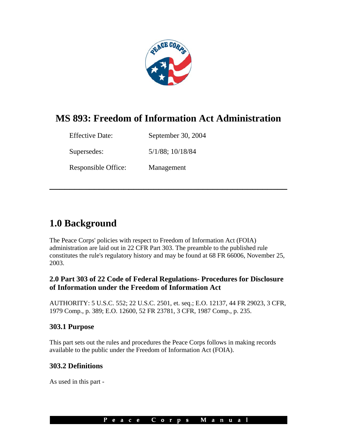

# **MS 893: Freedom of Information Act Administration**

**\_\_\_\_\_\_\_\_\_\_\_\_\_\_\_\_\_\_\_\_\_\_\_\_\_\_\_\_\_\_\_\_\_\_\_\_\_\_\_\_\_\_\_\_\_\_\_\_** 

| <b>Effective Date:</b> | September 30, 2004 |
|------------------------|--------------------|
| Supersedes:            | 5/1/88; 10/18/84   |
| Responsible Office:    | Management         |

# **1.0 Background**

The Peace Corps' policies with respect to Freedom of Information Act (FOIA) administration are laid out in 22 CFR Part 303. The preamble to the published rule constitutes the rule's regulatory history and may be found at 68 FR 66006, November 25, 2003.

# **2.0 Part 303 of 22 Code of Federal Regulations- Procedures for Disclosure of Information under the Freedom of Information Act**

AUTHORITY: 5 U.S.C. 552; 22 U.S.C. 2501, et. seq.; E.O. 12137, 44 FR 29023, 3 CFR, 1979 Comp., p. 389; E.O. 12600, 52 FR 23781, 3 CFR, 1987 Comp., p. 235.

### **303.1 Purpose**

This part sets out the rules and procedures the Peace Corps follows in making records available to the public under the Freedom of Information Act (FOIA).

# **303.2 Definitions**

As used in this part -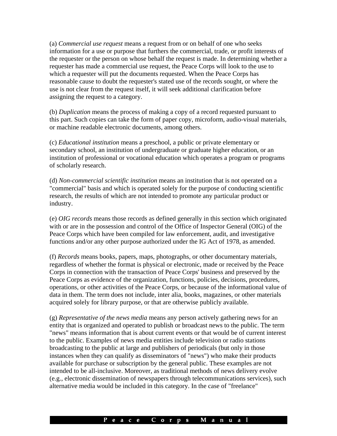(a) *Commercial use request* means a request from or on behalf of one who seeks information for a use or purpose that furthers the commercial, trade, or profit interests of the requester or the person on whose behalf the request is made. In determining whether a requester has made a commercial use request, the Peace Corps will look to the use to which a requester will put the documents requested. When the Peace Corps has reasonable cause to doubt the requester's stated use of the records sought, or where the use is not clear from the request itself, it will seek additional clarification before assigning the request to a category.

(b) *Duplication* means the process of making a copy of a record requested pursuant to this part. Such copies can take the form of paper copy, microform, audio-visual materials, or machine readable electronic documents, among others.

(c) *Educational institution* means a preschool, a public or private elementary or secondary school, an institution of undergraduate or graduate higher education, or an institution of professional or vocational education which operates a program or programs of scholarly research.

(d) *Non-commercial scientific institution* means an institution that is not operated on a "commercial" basis and which is operated solely for the purpose of conducting scientific research, the results of which are not intended to promote any particular product or industry.

(e) *OIG records* means those records as defined generally in this section which originated with or are in the possession and control of the Office of Inspector General (OIG) of the Peace Corps which have been compiled for law enforcement, audit, and investigative functions and/or any other purpose authorized under the IG Act of 1978, as amended.

(f) *Records* means books, papers, maps, photographs, or other documentary materials, regardless of whether the format is physical or electronic, made or received by the Peace Corps in connection with the transaction of Peace Corps' business and preserved by the Peace Corps as evidence of the organization, functions, policies, decisions, procedures, operations, or other activities of the Peace Corps, or because of the informational value of data in them. The term does not include, inter alia, books, magazines, or other materials acquired solely for library purpose, or that are otherwise publicly available.

(g) *Representative of the news media* means any person actively gathering news for an entity that is organized and operated to publish or broadcast news to the public. The term "news" means information that is about current events or that would be of current interest to the public. Examples of news media entities include television or radio stations broadcasting to the public at large and publishers of periodicals (but only in those instances when they can qualify as disseminators of "news") who make their products available for purchase or subscription by the general public. These examples are not intended to be all-inclusive. Moreover, as traditional methods of news delivery evolve (e.g., electronic dissemination of newspapers through telecommunications services), such alternative media would be included in this category. In the case of "freelance"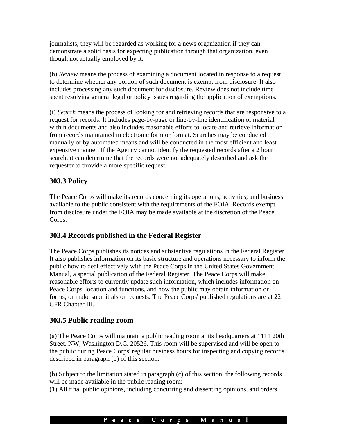journalists, they will be regarded as working for a news organization if they can demonstrate a solid basis for expecting publication through that organization, even though not actually employed by it.

(h) *Review* means the process of examining a document located in response to a request to determine whether any portion of such document is exempt from disclosure. It also includes processing any such document for disclosure. Review does not include time spent resolving general legal or policy issues regarding the application of exemptions.

(i) *Search* means the process of looking for and retrieving records that are responsive to a request for records. It includes page-by-page or line-by-line identification of material within documents and also includes reasonable efforts to locate and retrieve information from records maintained in electronic form or format. Searches may be conducted manually or by automated means and will be conducted in the most efficient and least expensive manner. If the Agency cannot identify the requested records after a 2 hour search, it can determine that the records were not adequately described and ask the requester to provide a more specific request.

# **303.3 Policy**

The Peace Corps will make its records concerning its operations, activities, and business available to the public consistent with the requirements of the FOIA. Records exempt from disclosure under the FOIA may be made available at the discretion of the Peace Corps.

# **303.4 Records published in the Federal Register**

The Peace Corps publishes its notices and substantive regulations in the Federal Register. It also publishes information on its basic structure and operations necessary to inform the public how to deal effectively with the Peace Corps in the United States Government Manual, a special publication of the Federal Register. The Peace Corps will make reasonable efforts to currently update such information, which includes information on Peace Corps' location and functions, and how the public may obtain information or forms, or make submittals or requests. The Peace Corps' published regulations are at 22 CFR Chapter III.

# **303.5 Public reading room**

(a) The Peace Corps will maintain a public reading room at its headquarters at 1111 20th Street, NW, Washington D.C. 20526. This room will be supervised and will be open to the public during Peace Corps' regular business hours for inspecting and copying records described in paragraph (b) of this section.

(b) Subject to the limitation stated in paragraph (c) of this section, the following records will be made available in the public reading room:

(1) All final public opinions, including concurring and dissenting opinions, and orders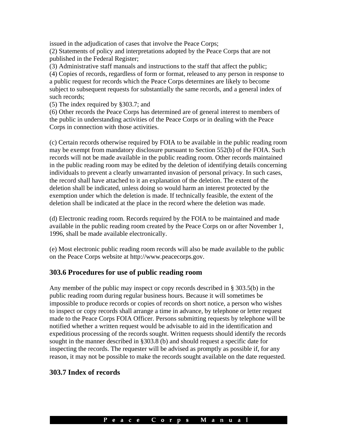issued in the adjudication of cases that involve the Peace Corps; (2) Statements of policy and interpretations adopted by the Peace Corps that are not published in the Federal Register;

(3) Administrative staff manuals and instructions to the staff that affect the public; (4) Copies of records, regardless of form or format, released to any person in response to a public request for records which the Peace Corps determines are likely to become subject to subsequent requests for substantially the same records, and a general index of such records;

(5) The index required by §303.7; and

(6) Other records the Peace Corps has determined are of general interest to members of the public in understanding activities of the Peace Corps or in dealing with the Peace Corps in connection with those activities.

(c) Certain records otherwise required by FOIA to be available in the public reading room may be exempt from mandatory disclosure pursuant to Section 552(b) of the FOIA. Such records will not be made available in the public reading room. Other records maintained in the public reading room may be edited by the deletion of identifying details concerning individuals to prevent a clearly unwarranted invasion of personal privacy. In such cases, the record shall have attached to it an explanation of the deletion. The extent of the deletion shall be indicated, unless doing so would harm an interest protected by the exemption under which the deletion is made. If technically feasible, the extent of the deletion shall be indicated at the place in the record where the deletion was made.

(d) Electronic reading room. Records required by the FOIA to be maintained and made available in the public reading room created by the Peace Corps on or after November 1, 1996, shall be made available electronically.

(e) Most electronic public reading room records will also be made available to the public on the Peace Corps website at http://www.peacecorps.gov.

#### **303.6 Procedures for use of public reading room**

Any member of the public may inspect or copy records described in § 303.5(b) in the public reading room during regular business hours. Because it will sometimes be impossible to produce records or copies of records on short notice, a person who wishes to inspect or copy records shall arrange a time in advance, by telephone or letter request made to the Peace Corps FOIA Officer. Persons submitting requests by telephone will be notified whether a written request would be advisable to aid in the identification and expeditious processing of the records sought. Written requests should identify the records sought in the manner described in §303.8 (b) and should request a specific date for inspecting the records. The requester will be advised as promptly as possible if, for any reason, it may not be possible to make the records sought available on the date requested.

#### **303.7 Index of records**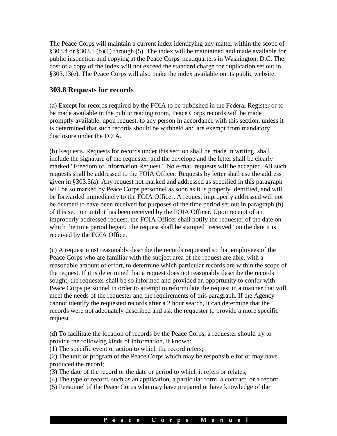The Peace Corps will maintain a current index identifying any matter within the scope of §303.4 or §303.5 (b)(1) through (5). The index will be maintained and made available for public inspection and copying at the Peace Corps' headquarters in Washington, D.C. The cost of a copy of the index will not exceed the standard charge for duplication set out in §303.13(e). The Peace Corps will also make the index available on its public website.

#### **303.8 Requests for records**

(a) Except for records required by the FOIA to be published in the Federal Register or to be made available in the public reading room, Peace Corps records will be made promptly available, upon request, to any person in accordance with this section, unless it is determined that such records should be withheld and are exempt from mandatory disclosure under the FOIA.

(b) Requests. Requests for records under this section shall be made in writing, shall include the signature of the requester, and the envelope and the letter shall be clearly marked "Freedom of Information Request." No e-mail requests will be accepted. All such requests shall be addressed to the FOIA Officer. Requests by letter shall use the address given in §303.5(a). Any request not marked and addressed as specified in this paragraph will be so marked by Peace Corps personnel as soon as it is properly identified, and will be forwarded immediately to the FOIA Officer. A request improperly addressed will not be deemed to have been received for purposes of the time period set out in paragraph (h) of this section until it has been received by the FOIA Officer. Upon receipt of an improperly addressed request, the FOIA Officer shall notify the requester of the date on which the time period began. The request shall be stamped "received" on the date it is received by the FOIA Office.

(c) A request must reasonably describe the records requested so that employees of the Peace Corps who are familiar with the subject area of the request are able, with a reasonable amount of effort, to determine which particular records are within the scope of the request. If it is determined that a request does not reasonably describe the records sought, the requester shall be so informed and provided an opportunity to confer with Peace Corps personnel in order to attempt to reformulate the request in a manner that will meet the needs of the requester and the requirements of this paragraph. If the Agency cannot identify the requested records after a 2 hour search, it can determine that the records were not adequately described and ask the requester to provide a more specific request.

(d) To facilitate the location of records by the Peace Corps, a requester should try to provide the following kinds of information, if known:

(1) The specific event or action to which the record refers;

(2) The unit or program of the Peace Corps which may be responsible for or may have produced the record;

(3) The date of the record or the date or period to which it refers or relates;

(4) The type of record, such as an application, a particular form, a contract, or a report;

(5) Personnel of the Peace Corps who may have prepared or have knowledge of the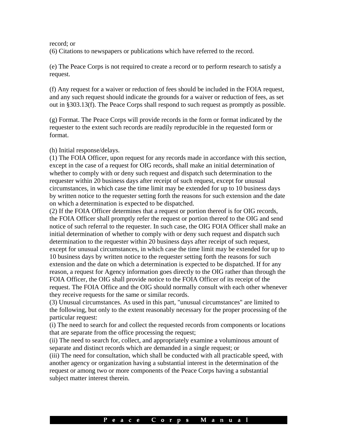#### record; or

(6) Citations to newspapers or publications which have referred to the record.

(e) The Peace Corps is not required to create a record or to perform research to satisfy a request.

(f) Any request for a waiver or reduction of fees should be included in the FOIA request, and any such request should indicate the grounds for a waiver or reduction of fees, as set out in §303.13(f). The Peace Corps shall respond to such request as promptly as possible.

(g) Format. The Peace Corps will provide records in the form or format indicated by the requester to the extent such records are readily reproducible in the requested form or format.

#### (h) Initial response/delays.

(1) The FOIA Officer, upon request for any records made in accordance with this section, except in the case of a request for OIG records, shall make an initial determination of whether to comply with or deny such request and dispatch such determination to the requester within 20 business days after receipt of such request, except for unusual circumstances, in which case the time limit may be extended for up to 10 business days by written notice to the requester setting forth the reasons for such extension and the date on which a determination is expected to be dispatched.

(2) If the FOIA Officer determines that a request or portion thereof is for OIG records, the FOIA Officer shall promptly refer the request or portion thereof to the OIG and send notice of such referral to the requester. In such case, the OIG FOIA Officer shall make an initial determination of whether to comply with or deny such request and dispatch such determination to the requester within 20 business days after receipt of such request, except for unusual circumstances, in which case the time limit may be extended for up to 10 business days by written notice to the requester setting forth the reasons for such extension and the date on which a determination is expected to be dispatched. If for any reason, a request for Agency information goes directly to the OIG rather than through the FOIA Officer, the OIG shall provide notice to the FOIA Officer of its receipt of the request. The FOIA Office and the OIG should normally consult with each other whenever they receive requests for the same or similar records.

(3) Unusual circumstances. As used in this part, "unusual circumstances" are limited to the following, but only to the extent reasonably necessary for the proper processing of the particular request:

(i) The need to search for and collect the requested records from components or locations that are separate from the office processing the request;

(ii) The need to search for, collect, and appropriately examine a voluminous amount of separate and distinct records which are demanded in a single request; or

(iii) The need for consultation, which shall be conducted with all practicable speed, with another agency or organization having a substantial interest in the determination of the request or among two or more components of the Peace Corps having a substantial subject matter interest therein.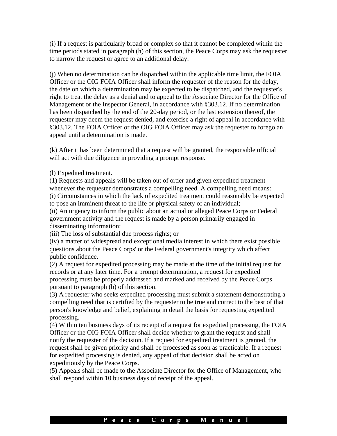(i) If a request is particularly broad or complex so that it cannot be completed within the time periods stated in paragraph (h) of this section, the Peace Corps may ask the requester to narrow the request or agree to an additional delay.

(j) When no determination can be dispatched within the applicable time limit, the FOIA Officer or the OIG FOIA Officer shall inform the requester of the reason for the delay, the date on which a determination may be expected to be dispatched, and the requester's right to treat the delay as a denial and to appeal to the Associate Director for the Office of Management or the Inspector General, in accordance with §303.12. If no determination has been dispatched by the end of the 20-day period, or the last extension thereof, the requester may deem the request denied, and exercise a right of appeal in accordance with §303.12. The FOIA Officer or the OIG FOIA Officer may ask the requester to forego an appeal until a determination is made.

(k) After it has been determined that a request will be granted, the responsible official will act with due diligence in providing a prompt response.

(l) Expedited treatment.

(1) Requests and appeals will be taken out of order and given expedited treatment whenever the requester demonstrates a compelling need. A compelling need means: (i) Circumstances in which the lack of expedited treatment could reasonably be expected to pose an imminent threat to the life or physical safety of an individual;

(ii) An urgency to inform the public about an actual or alleged Peace Corps or Federal government activity and the request is made by a person primarily engaged in disseminating information;

(iii) The loss of substantial due process rights; or

(iv) a matter of widespread and exceptional media interest in which there exist possible questions about the Peace Corps' or the Federal government's integrity which affect public confidence.

(2) A request for expedited processing may be made at the time of the initial request for records or at any later time. For a prompt determination, a request for expedited processing must be properly addressed and marked and received by the Peace Corps pursuant to paragraph (b) of this section.

(3) A requester who seeks expedited processing must submit a statement demonstrating a compelling need that is certified by the requester to be true and correct to the best of that person's knowledge and belief, explaining in detail the basis for requesting expedited processing.

(4) Within ten business days of its receipt of a request for expedited processing, the FOIA Officer or the OIG FOIA Officer shall decide whether to grant the request and shall notify the requester of the decision. If a request for expedited treatment is granted, the request shall be given priority and shall be processed as soon as practicable. If a request for expedited processing is denied, any appeal of that decision shall be acted on expeditiously by the Peace Corps.

(5) Appeals shall be made to the Associate Director for the Office of Management, who shall respond within 10 business days of receipt of the appeal.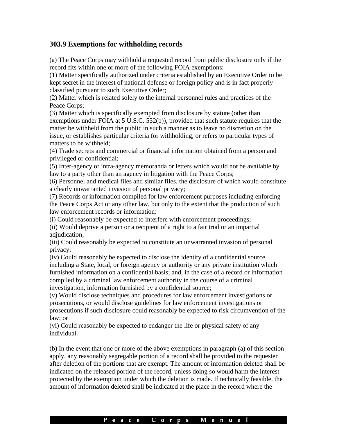## **303.9 Exemptions for withholding records**

(a) The Peace Corps may withhold a requested record from public disclosure only if the record fits within one or more of the following FOIA exemptions:

(1) Matter specifically authorized under criteria established by an Executive Order to be kept secret in the interest of national defense or foreign policy and is in fact properly classified pursuant to such Executive Order;

(2) Matter which is related solely to the internal personnel rules and practices of the Peace Corps;

(3) Matter which is specifically exempted from disclosure by statute (other than exemptions under FOIA at 5 U.S.C. 552(b)), provided that such statute requires that the matter be withheld from the public in such a manner as to leave no discretion on the issue, or establishes particular criteria for withholding, or refers to particular types of matters to be withheld;

(4) Trade secrets and commercial or financial information obtained from a person and privileged or confidential;

(5) Inter-agency or intra-agency memoranda or letters which would not be available by law to a party other than an agency in litigation with the Peace Corps;

(6) Personnel and medical files and similar files, the disclosure of which would constitute a clearly unwarranted invasion of personal privacy;

(7) Records or information compiled for law enforcement purposes including enforcing the Peace Corps Act or any other law, but only to the extent that the production of such law enforcement records or information:

(i) Could reasonably be expected to interfere with enforcement proceedings;

(ii) Would deprive a person or a recipient of a right to a fair trial or an impartial adjudication;

(iii) Could reasonably be expected to constitute an unwarranted invasion of personal privacy;

(iv) Could reasonably be expected to disclose the identity of a confidential source, including a State, local, or foreign agency or authority or any private institution which furnished information on a confidential basis; and, in the case of a record or information compiled by a criminal law enforcement authority in the course of a criminal investigation, information furnished by a confidential source;

(v) Would disclose techniques and procedures for law enforcement investigations or prosecutions, or would disclose guidelines for law enforcement investigations or prosecutions if such disclosure could reasonably be expected to risk circumvention of the law; or

(vi) Could reasonably be expected to endanger the life or physical safety of any individual.

(b) In the event that one or more of the above exemptions in paragraph (a) of this section apply, any reasonably segregable portion of a record shall be provided to the requester after deletion of the portions that are exempt. The amount of information deleted shall be indicated on the released portion of the record, unless doing so would harm the interest protected by the exemption under which the deletion is made. If technically feasible, the amount of information deleted shall be indicated at the place in the record where the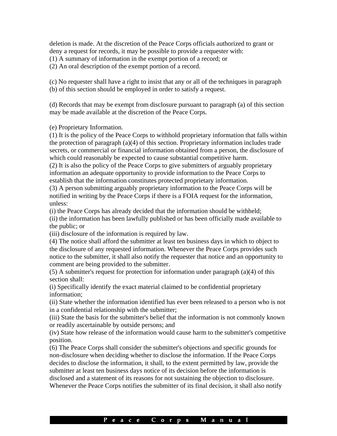deletion is made. At the discretion of the Peace Corps officials authorized to grant or deny a request for records, it may be possible to provide a requester with:

(1) A summary of information in the exempt portion of a record; or

(2) An oral description of the exempt portion of a record.

(c) No requester shall have a right to insist that any or all of the techniques in paragraph (b) of this section should be employed in order to satisfy a request.

(d) Records that may be exempt from disclosure pursuant to paragraph (a) of this section may be made available at the discretion of the Peace Corps.

(e) Proprietary Information.

(1) It is the policy of the Peace Corps to withhold proprietary information that falls within the protection of paragraph (a)(4) of this section. Proprietary information includes trade secrets, or commercial or financial information obtained from a person, the disclosure of which could reasonably be expected to cause substantial competitive harm.

(2) It is also the policy of the Peace Corps to give submitters of arguably proprietary information an adequate opportunity to provide information to the Peace Corps to establish that the information constitutes protected proprietary information.

(3) A person submitting arguably proprietary information to the Peace Corps will be notified in writing by the Peace Corps if there is a FOIA request for the information, unless:

(i) the Peace Corps has already decided that the information should be withheld;

(ii) the information has been lawfully published or has been officially made available to the public; or

(iii) disclosure of the information is required by law.

(4) The notice shall afford the submitter at least ten business days in which to object to the disclosure of any requested information. Whenever the Peace Corps provides such notice to the submitter, it shall also notify the requester that notice and an opportunity to comment are being provided to the submitter.

(5) A submitter's request for protection for information under paragraph (a)(4) of this section shall:

(i) Specifically identify the exact material claimed to be confidential proprietary information;

(ii) State whether the information identified has ever been released to a person who is not in a confidential relationship with the submitter;

(iii) State the basis for the submitter's belief that the information is not commonly known or readily ascertainable by outside persons; and

(iv) State how release of the information would cause harm to the submitter's competitive position.

(6) The Peace Corps shall consider the submitter's objections and specific grounds for non-disclosure when deciding whether to disclose the information. If the Peace Corps decides to disclose the information, it shall, to the extent permitted by law, provide the submitter at least ten business days notice of its decision before the information is disclosed and a statement of its reasons for not sustaining the objection to disclosure. Whenever the Peace Corps notifies the submitter of its final decision, it shall also notify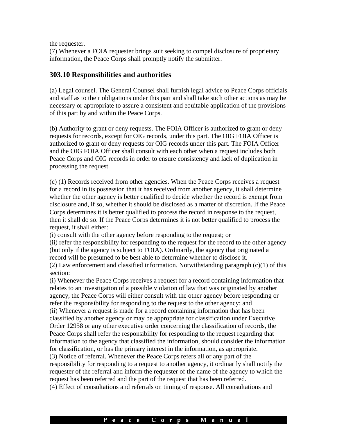the requester.

(7) Whenever a FOIA requester brings suit seeking to compel disclosure of proprietary information, the Peace Corps shall promptly notify the submitter.

#### **303.10 Responsibilities and authorities**

(a) Legal counsel. The General Counsel shall furnish legal advice to Peace Corps officials and staff as to their obligations under this part and shall take such other actions as may be necessary or appropriate to assure a consistent and equitable application of the provisions of this part by and within the Peace Corps.

(b) Authority to grant or deny requests. The FOIA Officer is authorized to grant or deny requests for records, except for OIG records, under this part. The OIG FOIA Officer is authorized to grant or deny requests for OIG records under this part. The FOIA Officer and the OIG FOIA Officer shall consult with each other when a request includes both Peace Corps and OIG records in order to ensure consistency and lack of duplication in processing the request.

(c) (1) Records received from other agencies. When the Peace Corps receives a request for a record in its possession that it has received from another agency, it shall determine whether the other agency is better qualified to decide whether the record is exempt from disclosure and, if so, whether it should be disclosed as a matter of discretion. If the Peace Corps determines it is better qualified to process the record in response to the request, then it shall do so. If the Peace Corps determines it is not better qualified to process the request, it shall either:

(i) consult with the other agency before responding to the request; or

(ii) refer the responsibility for responding to the request for the record to the other agency (but only if the agency is subject to FOIA). Ordinarily, the agency that originated a record will be presumed to be best able to determine whether to disclose it.  $(2)$  Law enforcement and classified information. Notwithstanding paragraph  $(c)(1)$  of this section:

(i) Whenever the Peace Corps receives a request for a record containing information that relates to an investigation of a possible violation of law that was originated by another agency, the Peace Corps will either consult with the other agency before responding or refer the responsibility for responding to the request to the other agency; and (ii) Whenever a request is made for a record containing information that has been classified by another agency or may be appropriate for classification under Executive Order 12958 or any other executive order concerning the classification of records, the Peace Corps shall refer the responsibility for responding to the request regarding that information to the agency that classified the information, should consider the information for classification, or has the primary interest in the information, as appropriate. (3) Notice of referral. Whenever the Peace Corps refers all or any part of the responsibility for responding to a request to another agency, it ordinarily shall notify the requester of the referral and inform the requester of the name of the agency to which the request has been referred and the part of the request that has been referred. (4) Effect of consultations and referrals on timing of response. All consultations and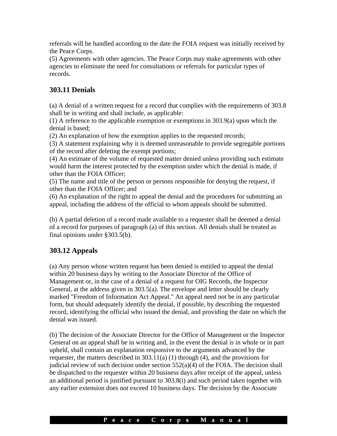referrals will be handled according to the date the FOIA request was initially received by the Peace Corps.

(5) Agreements with other agencies. The Peace Corps may make agreements with other agencies to eliminate the need for consultations or referrals for particular types of records.

# **303.11 Denials**

(a) A denial of a written request for a record that complies with the requirements of 303.8 shall be in writing and shall include, as applicable:

(1) A reference to the applicable exemption or exemptions in 303.9(a) upon which the denial is based;

(2) An explanation of how the exemption applies to the requested records;

(3) A statement explaining why it is deemed unreasonable to provide segregable portions of the record after deleting the exempt portions;

(4) An estimate of the volume of requested matter denied unless providing such estimate would harm the interest protected by the exemption under which the denial is made, if other than the FOIA Officer;

(5) The name and title of the person or persons responsible for denying the request, if other than the FOIA Officer; and

(6) An explanation of the right to appeal the denial and the procedures for submitting an appeal, including the address of the official to whom appeals should be submitted.

(b) A partial deletion of a record made available to a requester shall be deemed a denial of a record for purposes of paragraph (a) of this section. All denials shall be treated as final opinions under §303.5(b).

# **303.12 Appeals**

(a) Any person whose written request has been denied is entitled to appeal the denial within 20 business days by writing to the Associate Director of the Office of Management or, in the case of a denial of a request for OIG Records, the Inspector General, at the address given in 303.5(a). The envelope and letter should be clearly marked "Freedom of Information Act Appeal." An appeal need not be in any particular form, but should adequately identify the denial, if possible, by describing the requested record, identifying the official who issued the denial, and providing the date on which the denial was issued.

(b) The decision of the Associate Director for the Office of Management or the Inspector General on an appeal shall be in writing and, in the event the denial is in whole or in part upheld, shall contain an explanation responsive to the arguments advanced by the requester, the matters described in 303.11(a) (1) through (4), and the provisions for judicial review of such decision under section  $552(a)(4)$  of the FOIA. The decision shall be dispatched to the requester within 20 business days after receipt of the appeal, unless an additional period is justified pursuant to 303.8(i) and such period taken together with any earlier extension does not exceed 10 business days. The decision by the Associate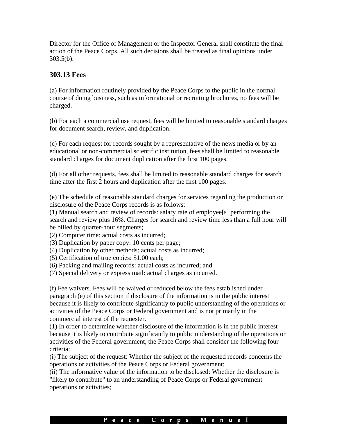Director for the Office of Management or the Inspector General shall constitute the final action of the Peace Corps. All such decisions shall be treated as final opinions under 303.5(b).

### **303.13 Fees**

(a) For information routinely provided by the Peace Corps to the public in the normal course of doing business, such as informational or recruiting brochures, no fees will be charged.

(b) For each a commercial use request, fees will be limited to reasonable standard charges for document search, review, and duplication.

(c) For each request for records sought by a representative of the news media or by an educational or non-commercial scientific institution, fees shall be limited to reasonable standard charges for document duplication after the first 100 pages.

(d) For all other requests, fees shall be limited to reasonable standard charges for search time after the first 2 hours and duplication after the first 100 pages.

(e) The schedule of reasonable standard charges for services regarding the production or disclosure of the Peace Corps records is as follows:

(1) Manual search and review of records: salary rate of employee[s] performing the search and review plus 16%. Charges for search and review time less than a full hour will be billed by quarter-hour segments;

(2) Computer time: actual costs as incurred;

(3) Duplication by paper copy: 10 cents per page;

(4) Duplication by other methods: actual costs as incurred;

(5) Certification of true copies: \$1.00 each;

(6) Packing and mailing records: actual costs as incurred; and

(7) Special delivery or express mail: actual charges as incurred.

(f) Fee waivers. Fees will be waived or reduced below the fees established under paragraph (e) of this section if disclosure of the information is in the public interest because it is likely to contribute significantly to public understanding of the operations or activities of the Peace Corps or Federal government and is not primarily in the commercial interest of the requester.

(1) In order to determine whether disclosure of the information is in the public interest because it is likely to contribute significantly to public understanding of the operations or activities of the Federal government, the Peace Corps shall consider the following four criteria:

(i) The subject of the request: Whether the subject of the requested records concerns the operations or activities of the Peace Corps or Federal government;

(ii) The informative value of the information to be disclosed: Whether the disclosure is "likely to contribute" to an understanding of Peace Corps or Federal government operations or activities;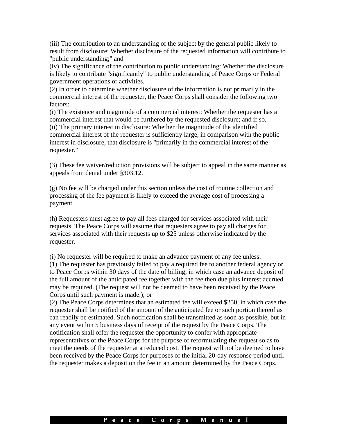(iii) The contribution to an understanding of the subject by the general public likely to result from disclosure: Whether disclosure of the requested information will contribute to "public understanding;" and

(iv) The significance of the contribution to public understanding: Whether the disclosure is likely to contribute "significantly" to public understanding of Peace Corps or Federal government operations or activities.

(2) In order to determine whether disclosure of the information is not primarily in the commercial interest of the requester, the Peace Corps shall consider the following two factors:

(i) The existence and magnitude of a commercial interest: Whether the requester has a commercial interest that would be furthered by the requested disclosure; and if so, (ii) The primary interest in disclosure: Whether the magnitude of the identified commercial interest of the requester is sufficiently large, in comparison with the public interest in disclosure, that disclosure is "primarily in the commercial interest of the requester."

(3) These fee waiver/reduction provisions will be subject to appeal in the same manner as appeals from denial under §303.12.

(g) No fee will be charged under this section unless the cost of routine collection and processing of the fee payment is likely to exceed the average cost of processing a payment.

(h) Requesters must agree to pay all fees charged for services associated with their requests. The Peace Corps will assume that requesters agree to pay all charges for services associated with their requests up to \$25 unless otherwise indicated by the requester.

(i) No requester will be required to make an advance payment of any fee unless: (1) The requester has previously failed to pay a required fee to another federal agency or to Peace Corps within 30 days of the date of billing, in which case an advance deposit of the full amount of the anticipated fee together with the fee then due plus interest accrued may be required. (The request will not be deemed to have been received by the Peace Corps until such payment is made.); or

(2) The Peace Corps determines that an estimated fee will exceed \$250, in which case the requester shall be notified of the amount of the anticipated fee or such portion thereof as can readily be estimated. Such notification shall be transmitted as soon as possible, but in any event within 5 business days of receipt of the request by the Peace Corps. The notification shall offer the requester the opportunity to confer with appropriate representatives of the Peace Corps for the purpose of reformulating the request so as to meet the needs of the requester at a reduced cost. The request will not be deemed to have been received by the Peace Corps for purposes of the initial 20-day response period until the requester makes a deposit on the fee in an amount determined by the Peace Corps.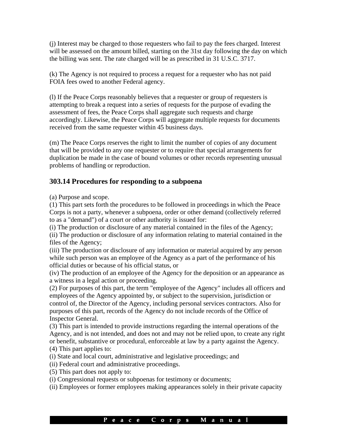(j) Interest may be charged to those requesters who fail to pay the fees charged. Interest will be assessed on the amount billed, starting on the 31st day following the day on which the billing was sent. The rate charged will be as prescribed in 31 U.S.C. 3717.

(k) The Agency is not required to process a request for a requester who has not paid FOIA fees owed to another Federal agency.

(l) If the Peace Corps reasonably believes that a requester or group of requesters is attempting to break a request into a series of requests for the purpose of evading the assessment of fees, the Peace Corps shall aggregate such requests and charge accordingly. Likewise, the Peace Corps will aggregate multiple requests for documents received from the same requester within 45 business days.

(m) The Peace Corps reserves the right to limit the number of copies of any document that will be provided to any one requester or to require that special arrangements for duplication be made in the case of bound volumes or other records representing unusual problems of handling or reproduction.

# **303.14 Procedures for responding to a subpoena**

(a) Purpose and scope.

(1) This part sets forth the procedures to be followed in proceedings in which the Peace Corps is not a party, whenever a subpoena, order or other demand (collectively referred to as a "demand") of a court or other authority is issued for:

(i) The production or disclosure of any material contained in the files of the Agency;

(ii) The production or disclosure of any information relating to material contained in the files of the Agency;

(iii) The production or disclosure of any information or material acquired by any person while such person was an employee of the Agency as a part of the performance of his official duties or because of his official status, or

(iv) The production of an employee of the Agency for the deposition or an appearance as a witness in a legal action or proceeding.

(2) For purposes of this part, the term "employee of the Agency" includes all officers and employees of the Agency appointed by, or subject to the supervision, jurisdiction or control of, the Director of the Agency, including personal services contractors. Also for purposes of this part, records of the Agency do not include records of the Office of Inspector General.

(3) This part is intended to provide instructions regarding the internal operations of the Agency, and is not intended, and does not and may not be relied upon, to create any right or benefit, substantive or procedural, enforceable at law by a party against the Agency. (4) This part applies to:

(i) State and local court, administrative and legislative proceedings; and

- (ii) Federal court and administrative proceedings.
- (5) This part does not apply to:
- (i) Congressional requests or subpoenas for testimony or documents;
- (ii) Employees or former employees making appearances solely in their private capacity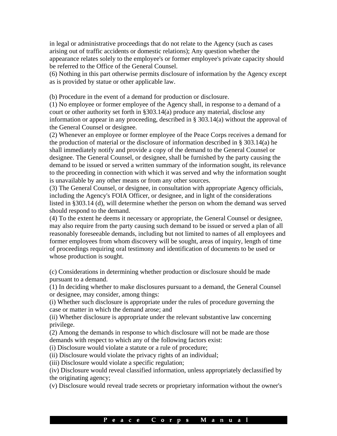in legal or administrative proceedings that do not relate to the Agency (such as cases arising out of traffic accidents or domestic relations); Any question whether the appearance relates solely to the employee's or former employee's private capacity should be referred to the Office of the General Counsel.

(6) Nothing in this part otherwise permits disclosure of information by the Agency except as is provided by statue or other applicable law.

(b) Procedure in the event of a demand for production or disclosure.

(1) No employee or former employee of the Agency shall, in response to a demand of a court or other authority set forth in §303.14(a) produce any material, disclose any information or appear in any proceeding, described in § 303.14(a) without the approval of the General Counsel or designee.

(2) Whenever an employee or former employee of the Peace Corps receives a demand for the production of material or the disclosure of information described in § 303.14(a) he shall immediately notify and provide a copy of the demand to the General Counsel or designee. The General Counsel, or designee, shall be furnished by the party causing the demand to be issued or served a written summary of the information sought, its relevance to the proceeding in connection with which it was served and why the information sought is unavailable by any other means or from any other sources.

(3) The General Counsel, or designee, in consultation with appropriate Agency officials, including the Agency's FOIA Officer, or designee, and in light of the considerations listed in §303.14 (d), will determine whether the person on whom the demand was served should respond to the demand.

(4) To the extent he deems it necessary or appropriate, the General Counsel or designee, may also require from the party causing such demand to be issued or served a plan of all reasonably foreseeable demands, including but not limited to names of all employees and former employees from whom discovery will be sought, areas of inquiry, length of time of proceedings requiring oral testimony and identification of documents to be used or whose production is sought.

(c) Considerations in determining whether production or disclosure should be made pursuant to a demand.

(1) In deciding whether to make disclosures pursuant to a demand, the General Counsel or designee, may consider, among things:

(i) Whether such disclosure is appropriate under the rules of procedure governing the case or matter in which the demand arose; and

(ii) Whether disclosure is appropriate under the relevant substantive law concerning privilege.

(2) Among the demands in response to which disclosure will not be made are those demands with respect to which any of the following factors exist:

(i) Disclosure would violate a statute or a rule of procedure;

(ii) Disclosure would violate the privacy rights of an individual;

(iii) Disclosure would violate a specific regulation;

(iv) Disclosure would reveal classified information, unless appropriately declassified by the originating agency;

(v) Disclosure would reveal trade secrets or proprietary information without the owner's